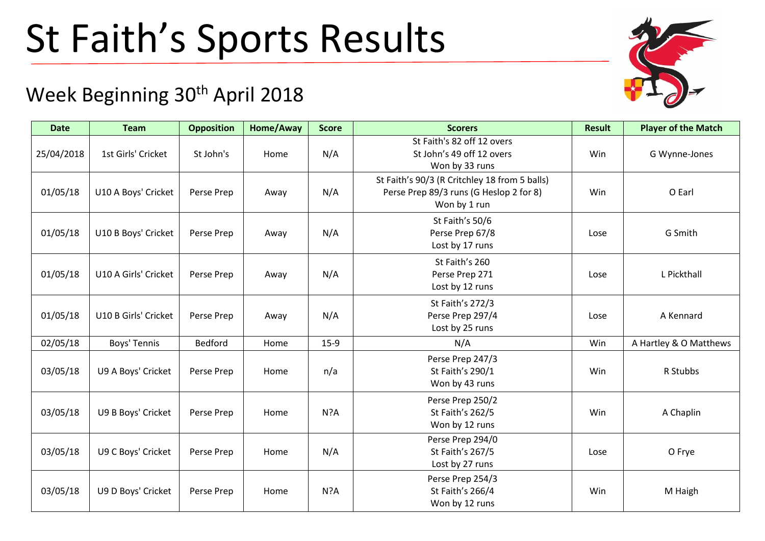## St Faith's Sports Results

## Week Beginning 30<sup>th</sup> April 2018

| <b>Date</b> | <b>Team</b>          | <b>Opposition</b> | Home/Away | <b>Score</b> | <b>Scorers</b>                                                                                           | <b>Result</b> | <b>Player of the Match</b> |
|-------------|----------------------|-------------------|-----------|--------------|----------------------------------------------------------------------------------------------------------|---------------|----------------------------|
| 25/04/2018  | 1st Girls' Cricket   | St John's         | Home      | N/A          | St Faith's 82 off 12 overs<br>St John's 49 off 12 overs<br>Won by 33 runs                                | Win           | G Wynne-Jones              |
| 01/05/18    | U10 A Boys' Cricket  | Perse Prep        | Away      | N/A          | St Faith's 90/3 (R Critchley 18 from 5 balls)<br>Perse Prep 89/3 runs (G Heslop 2 for 8)<br>Won by 1 run | Win           | O Earl                     |
| 01/05/18    | U10 B Boys' Cricket  | Perse Prep        | Away      | N/A          | St Faith's 50/6<br>Perse Prep 67/8<br>Lost by 17 runs                                                    | Lose          | G Smith                    |
| 01/05/18    | U10 A Girls' Cricket | Perse Prep        | Away      | N/A          | St Faith's 260<br>Perse Prep 271<br>Lost by 12 runs                                                      | Lose          | L Pickthall                |
| 01/05/18    | U10 B Girls' Cricket | Perse Prep        | Away      | N/A          | St Faith's 272/3<br>Perse Prep 297/4<br>Lost by 25 runs                                                  | Lose          | A Kennard                  |
| 02/05/18    | Boys' Tennis         | Bedford           | Home      | $15-9$       | N/A                                                                                                      | Win           | A Hartley & O Matthews     |
| 03/05/18    | U9 A Boys' Cricket   | Perse Prep        | Home      | n/a          | Perse Prep 247/3<br>St Faith's 290/1<br>Won by 43 runs                                                   | Win           | R Stubbs                   |
| 03/05/18    | U9 B Boys' Cricket   | Perse Prep        | Home      | N?A          | Perse Prep 250/2<br>St Faith's 262/5<br>Won by 12 runs                                                   | Win           | A Chaplin                  |
| 03/05/18    | U9 C Boys' Cricket   | Perse Prep        | Home      | N/A          | Perse Prep 294/0<br>St Faith's 267/5<br>Lost by 27 runs                                                  | Lose          | O Frye                     |
| 03/05/18    | U9 D Boys' Cricket   | Perse Prep        | Home      | N?A          | Perse Prep 254/3<br>St Faith's 266/4<br>Won by 12 runs                                                   | Win           | M Haigh                    |